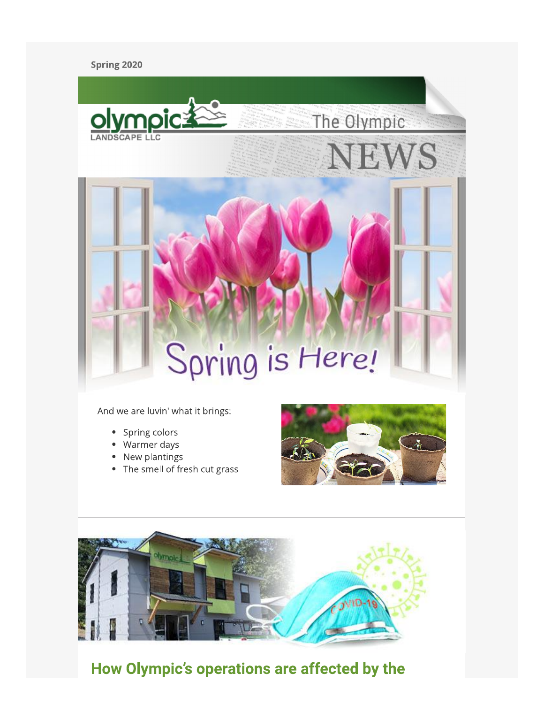#### Spring 2020



And we are luvin' what it brings:

- Spring colors
- Warmer days
- New plantings
- The smell of fresh cut grass





## How Olympic's operations are affected by the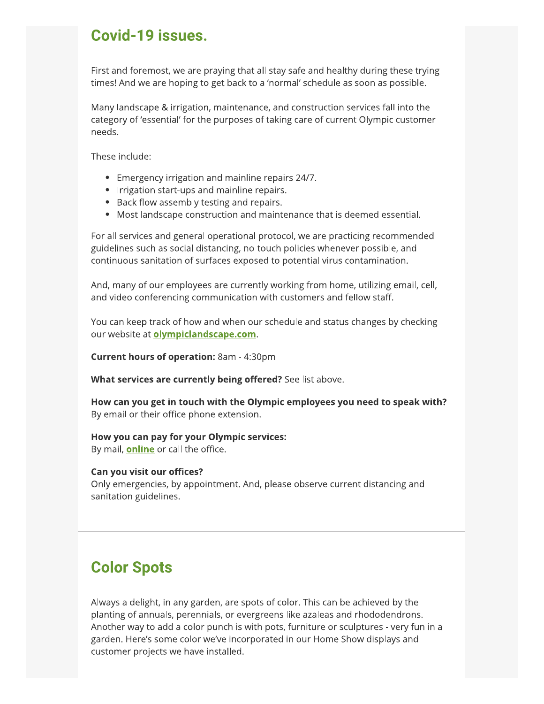### Covid-19 issues.

First and foremost, we are praying that all stay safe and healthy during these trying times! And we are hoping to get back to a 'normal' schedule as soon as possible.

Many landscape & irrigation, maintenance, and construction services fall into the category of 'essential' for the purposes of taking care of current Olympic customer needs.

These include:

- Emergency irrigation and mainline repairs 24/7.
- Irrigation start-ups and mainline repairs.
- Back flow assembly testing and repairs.
- Most landscape construction and maintenance that is deemed essential.

For all services and general operational protocol, we are practicing recommended guidelines such as social distancing, no-touch policies whenever possible, and continuous sanitation of surfaces exposed to potential virus contamination.

And, many of our employees are currently working from home, utilizing email, cell, and video conferencing communication with customers and fellow staff.

You can keep track of how and when our schedule and status changes by checking our website at **olympiclandscape.com**.

Current hours of operation: 8am - 4:30pm

What services are currently being offered? See list above.

How can you get in touch with the Olympic employees you need to speak with? By email or their office phone extension.

#### How you can pay for your Olympic services:

By mail, **online** or call the office.

#### Can you visit our offices?

Only emergencies, by appointment. And, please observe current distancing and sanitation guidelines.

## **Color Spots**

Always a delight, in any garden, are spots of color. This can be achieved by the planting of annuals, perennials, or evergreens like azaleas and rhododendrons. Another way to add a color punch is with pots, furniture or sculptures - very fun in a garden. Here's some color we've incorporated in our Home Show displays and customer projects we have installed.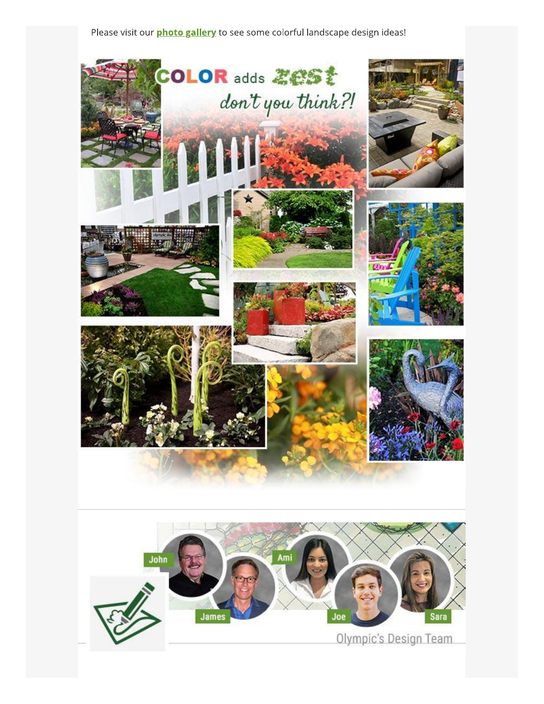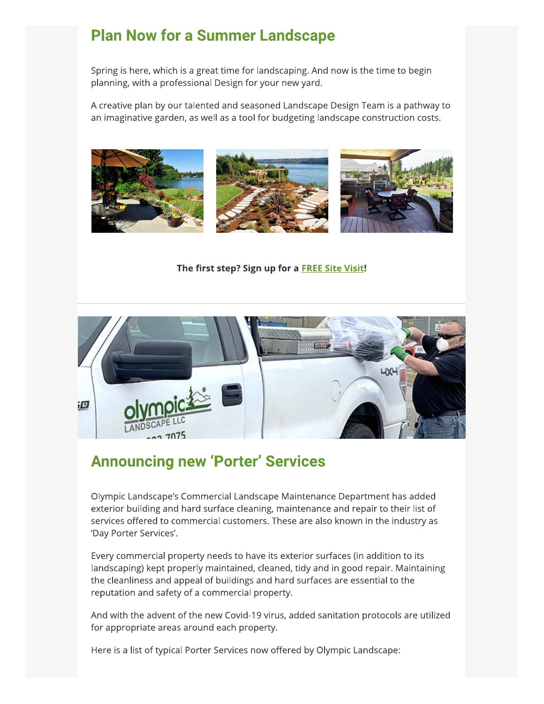## **Plan Now for a Summer Landscape**

Spring is here, which is a great time for landscaping. And now is the time to begin planning, with a professional Design for your new yard.

A creative plan by our talented and seasoned Landscape Design Team is a pathway to an imaginative garden, as well as a tool for budgeting landscape construction costs.



The first step? Sign up for a **FREE Site Visit!** 



### **Announcing new 'Porter' Services**

Olympic Landscape's Commercial Landscape Maintenance Department has added exterior building and hard surface cleaning, maintenance and repair to their list of services offered to commercial customers. These are also known in the industry as 'Day Porter Services'.

Every commercial property needs to have its exterior surfaces (in addition to its landscaping) kept properly maintained, cleaned, tidy and in good repair. Maintaining the cleanliness and appeal of buildings and hard surfaces are essential to the reputation and safety of a commercial property.

And with the advent of the new Covid-19 virus, added sanitation protocols are utilized for appropriate areas around each property.

Here is a list of typical Porter Services now offered by Olympic Landscape: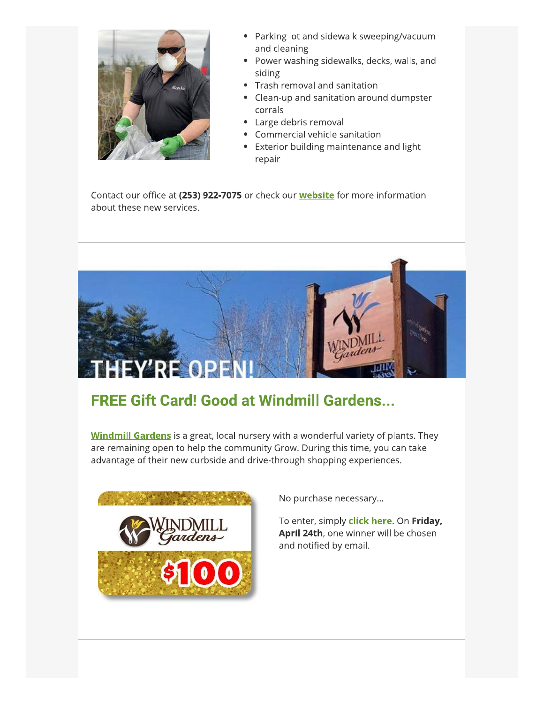

- Parking lot and sidewalk sweeping/vacuum and cleaning
- Power washing sidewalks, decks, walls, and siding
- Trash removal and sanitation  $\bullet$
- Clean-up and sanitation around dumpster  $\bullet$ corrals
- Large debris removal
- Commercial vehicle sanitation
- Exterior building maintenance and light repair

Contact our office at (253) 922-7075 or check our **website** for more information about these new services.



# **FREE Gift Card! Good at Windmill Gardens...**

**Windmill Gardens** is a great, local nursery with a wonderful variety of plants. They are remaining open to help the community Grow. During this time, you can take advantage of their new curbside and drive-through shopping experiences.



No purchase necessary...

To enter, simply click here. On Friday, April 24th, one winner will be chosen and notified by email.